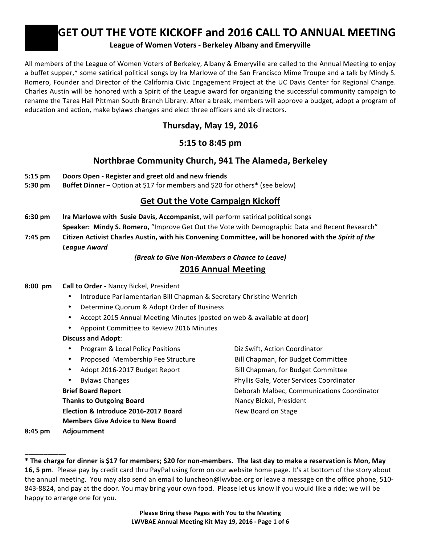# **GET&OUT&THE&VOTE&KICKOFF and&2016 CALL&TO&ANNUAL&MEETING**

#### League of Women Voters - Berkeley Albany and Emeryville

All members of the League of Women Voters of Berkeley, Albany & Emeryville are called to the Annual Meeting to enjoy a buffet supper,\* some satirical political songs by Ira Marlowe of the San Francisco Mime Troupe and a talk by Mindy S. Romero, Founder and Director of the California Civic Engagement Project at the UC Davis Center for Regional Change. Charles Austin will be honored with a Spirit of the League award for organizing the successful community campaign to rename the Tarea Hall Pittman South Branch Library. After a break, members will approve a budget, adopt a program of education and action, make bylaws changes and elect three officers and six directors.

## **Thursday,&May&19,&2016**

## **5:15 to&8:45 pm**

## Northbrae Community Church, 941 The Alameda, Berkeley

- **5:15 pm** Doors Open Register and greet old and new friends
- **5:30 pm Buffet Dinner** Option at \$17 for members and \$20 for others\* (see below)

## **Get Out the Vote Campaign Kickoff**

**6:30 pm Ira Marlowe with Susie Davis, Accompanist, will perform satirical political songs** Speaker: Mindy S. Romero, "Improve Get Out the Vote with Demographic Data and Recent Research" **7:45 pm** Citizen Activist Charles Austin, with his Convening Committee, will be honored with the Spirit of the *League&Award*

*(Break to Give Non-Members a Chance to Leave)* 

## **2016 Annual Meeting**

## **8:00 pm Call to Order - Nancy Bickel, President**

- Introduce Parliamentarian Bill Chapman & Secretary Christine Wenrich
- Determine Quorum & Adopt Order of Business
- Accept 2015 Annual Meeting Minutes [posted on web & available at door]
- Appoint Committee to Review 2016 Minutes

## **Discuss and Adopt:**

- Program & Local Policy Positions **. . . . . . . . . . . Diz Swift, Action Coordinator**
- Proposed! Membership!Fee!Structure !!!!!!!!!!! !!!!!!!!!!Bill!Chapman,!for!Budget!Committee
- 
- 

**Thanks to Outgoing Board 1988 12 Separate States Services** Nancy Bickel, President **Election & Introduce 2016-2017 Board Board Board Board Board on Stage Members Give Advice to New Board** 

Adopt 2016-2017 Budget Report Bill Chapman, for Budget Committee

• Bylaws Changes !!!!!!!!!!!!!! !!!!!!!!!!!!!Phyllis!Gale,!Voter!Services!Coordinator

**Brief Board Report Brief Board Report 1988 Deborah Malbec, Communications Coordinator** 

**8:45&pm Adjournment**

**\_\_\_\_\_\_\_\_\_\_\_**

Please Bring these Pages with You to the Meeting **LWVBAE&Annual&Meeting&Kit&May&19,&2016 @ Page&1 of&6**

**<sup>\*</sup> The&charge&for&dinner&is&\$17&for&members;&\$20&for&non@members. The&last&day&to&make&a&reservation&is&Mon,&May&** 16, 5 pm. Please pay by credit card thru PayPal using form on our website home page. It's at bottom of the story about the annual meeting. You may also send an email to luncheon@lwvbae.org or leave a message on the office phone, 510-843-8824, and pay at the door. You may bring your own food. Please let us know if you would like a ride; we will be happy to arrange one for you.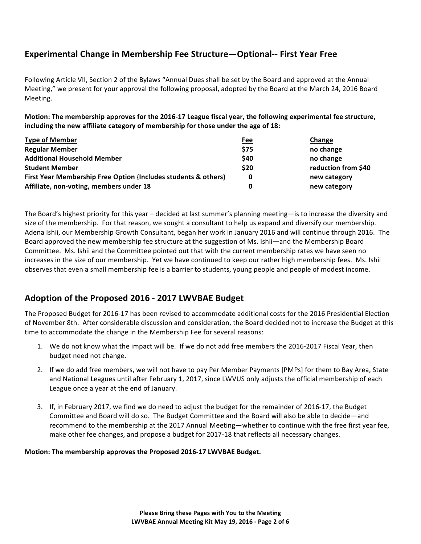## **Experimental Change in Membership Fee Structure—Optional-- First Year Free**

Following Article VII, Section 2 of the Bylaws "Annual Dues shall be set by the Board and approved at the Annual Meeting," we present for your approval the following proposal, adopted by the Board at the March 24, 2016 Board Meeting.

Motion: The membership approves for the 2016-17 League fiscal year, the following experimental fee structure, including the new affiliate category of membership for those under the age of 18:

| <b>Type of Member</b>                                          | Fee  | Change              |
|----------------------------------------------------------------|------|---------------------|
| <b>Regular Member</b>                                          | \$75 | no change           |
| <b>Additional Household Member</b>                             | \$40 | no change           |
| <b>Student Member</b>                                          | \$20 | reduction from \$40 |
| First Year Membership Free Option {Includes students & others} | 0    | new category        |
| Affiliate, non-voting, members under 18                        | 0    | new category        |

The Board's highest priority for this year – decided at last summer's planning meeting—is to increase the diversity and size of the membership. For that reason, we sought a consultant to help us expand and diversify our membership. Adena Ishii, our Membership Growth Consultant, began her work in January 2016 and will continue through 2016. The Board approved the new membership fee structure at the suggestion of Ms. Ishii—and the Membership Board Committee. Ms. Ishii and the Committee pointed out that with the current membership rates we have seen no increases in the size of our membership. Yet we have continued to keep our rather high membership fees. Ms. Ishii observes that even a small membership fee is a barrier to students, young people and people of modest income.

## Adoption of the Proposed 2016 - 2017 LWVBAE Budget

The Proposed Budget for 2016-17 has been revised to accommodate additional costs for the 2016 Presidential Election of November 8th. After considerable discussion and consideration, the Board decided not to increase the Budget at this time to accommodate the change in the Membership Fee for several reasons:

- 1. We do not know what the impact will be. If we do not add free members the 2016-2017 Fiscal Year, then budget need not change.
- 2. If we do add free members, we will not have to pay Per Member Payments [PMPs] for them to Bay Area, State and National Leagues until after February 1, 2017, since LWVUS only adjusts the official membership of each League once a year at the end of January.
- 3. If, in February 2017, we find we do need to adjust the budget for the remainder of 2016-17, the Budget Committee and Board will do so. The Budget Committee and the Board will also be able to decide—and recommend to the membership at the 2017 Annual Meeting—whether to continue with the free first year fee, make other fee changes, and propose a budget for 2017-18 that reflects all necessary changes.

#### **Motion: The membership approves the Proposed 2016-17 LWVBAE Budget.**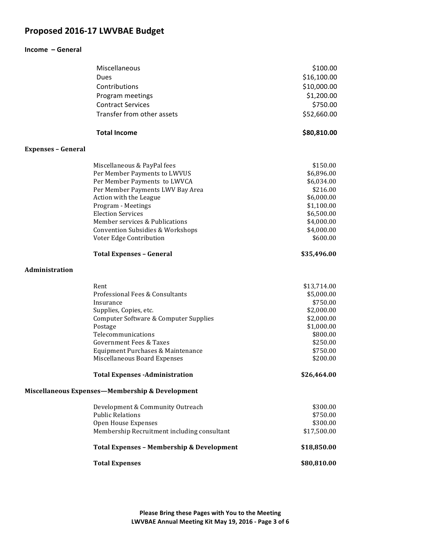## Proposed 2016-17 LWVBAE Budget

#### **Income - General**

|                           | Miscellaneous                                        | \$100.00    |
|---------------------------|------------------------------------------------------|-------------|
|                           | Dues                                                 | \$16,100.00 |
|                           | Contributions                                        | \$10,000.00 |
|                           | Program meetings                                     | \$1,200.00  |
|                           | <b>Contract Services</b>                             | \$750.00    |
|                           | Transfer from other assets                           | \$52,660.00 |
|                           |                                                      |             |
|                           | <b>Total Income</b>                                  | \$80,810.00 |
| <b>Expenses - General</b> |                                                      |             |
|                           | Miscellaneous & PayPal fees                          | \$150.00    |
|                           | Per Member Payments to LWVUS                         | \$6,896.00  |
|                           | Per Member Payments to LWVCA                         | \$6,034.00  |
|                           | Per Member Payments LWV Bay Area                     | \$216.00    |
|                           | Action with the League                               | \$6,000.00  |
|                           | Program - Meetings                                   | \$1,100.00  |
|                           | <b>Election Services</b>                             | \$6,500.00  |
|                           | Member services & Publications                       | \$4,000.00  |
|                           | <b>Convention Subsidies &amp; Workshops</b>          | \$4,000.00  |
|                           | Voter Edge Contribution                              | \$600.00    |
|                           | <b>Total Expenses - General</b>                      | \$35,496.00 |
| Administration            |                                                      |             |
|                           | Rent                                                 | \$13,714.00 |
|                           | Professional Fees & Consultants                      | \$5,000.00  |
|                           | Insurance                                            | \$750.00    |
|                           | Supplies, Copies, etc.                               | \$2,000.00  |
|                           | Computer Software & Computer Supplies                | \$2,000.00  |
|                           | Postage                                              | \$1,000.00  |
|                           | Telecommunications                                   | \$800.00    |
|                           | <b>Government Fees &amp; Taxes</b>                   | \$250.00    |
|                           | Equipment Purchases & Maintenance                    | \$750.00    |
|                           | Miscellaneous Board Expenses                         | \$200.00    |
|                           | <b>Total Expenses -Administration</b>                | \$26,464.00 |
|                           | Miscellaneous Expenses-Membership & Development      |             |
|                           | Development & Community Outreach                     | \$300.00    |
|                           | <b>Public Relations</b>                              | \$750.00    |
|                           | Open House Expenses                                  | \$300.00    |
|                           | Membership Recruitment including consultant          | \$17,500.00 |
|                           | <b>Total Expenses - Membership &amp; Development</b> | \$18,850.00 |
|                           | <b>Total Expenses</b>                                | \$80,810.00 |
|                           |                                                      |             |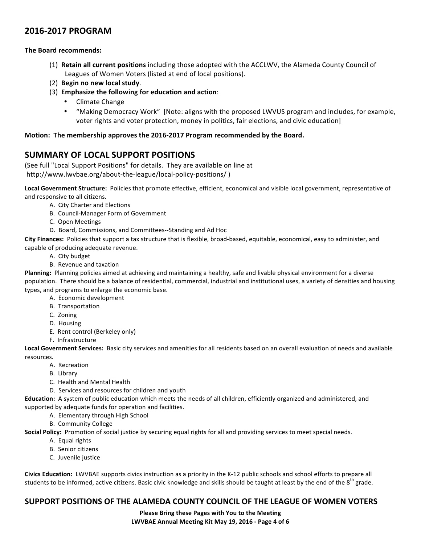## **2016@2017&PROGRAM**

#### **The Board recommends:**

- (1) **Retain all current positions** including those adopted with the ACCLWV, the Alameda County Council of Leagues of Women Voters (listed at end of local positions).
- (2) **Begin no new local study.**
- (3) **Emphasize the following for education and action:** 
	- Climate Change
	- "Making Democracy Work" [Note: aligns with the proposed LWVUS program and includes, for example, voter rights and voter protection, money in politics, fair elections, and civic education]

#### Motion: The membership approves the 2016-2017 Program recommended by the Board.

## SUMMARY OF LOCAL SUPPORT POSITIONS

(See full "Local Support Positions" for details. They are available on line at http://www.lwvbae.org/about-the-league/local-policy-positions/)

Local Government Structure: Policies that promote effective, efficient, economical and visible local government, representative of and responsive to all citizens.

- A. City Charter and Elections
- B. Council-Manager Form of Government
- C. Open Meetings
- D. Board, Commissions, and Committees--Standing and Ad Hoc

**City Finances:** Policies that support a tax structure that is flexible, broad-based, equitable, economical, easy to administer, and capable of producing adequate revenue.

- A. City budget
- B. Revenue and taxation

Planning: Planning policies aimed at achieving and maintaining a healthy, safe and livable physical environment for a diverse population. There should be a balance of residential, commercial, industrial and institutional uses, a variety of densities and housing types, and programs to enlarge the economic base.

- A. Economic development
- **B.** Transportation
- C. Zoning
- D. Housing
- E. Rent control (Berkeley only)
- F. Infrastructure

Local Government Services: Basic city services and amenities for all residents based on an overall evaluation of needs and available resources.

- A. Recreation
- B. Library
- C. Health and Mental Health
- D. Services and resources for children and youth

**Education:** A system of public education which meets the needs of all children, efficiently organized and administered, and supported by adequate funds for operation and facilities.

- A. Elementary through High School
- B. Community College

**Social Policy:** Promotion of social justice by securing equal rights for all and providing services to meet special needs.

- A. Equal rights
- B. Senior citizens
- C. Juvenile justice

**Civics Education:** LWVBAE supports civics instruction as a priority in the K-12 public schools and school efforts to prepare all students to be informed, active citizens. Basic civic knowledge and skills should be taught at least by the end of the  $8<sup>th</sup>$  grade.

### SUPPORT POSITIONS OF THE ALAMEDA COUNTY COUNCIL OF THE LEAGUE OF WOMEN VOTERS

Please Bring these Pages with You to the Meeting LWVBAE Annual Meeting Kit May 19, 2016 - Page 4 of 6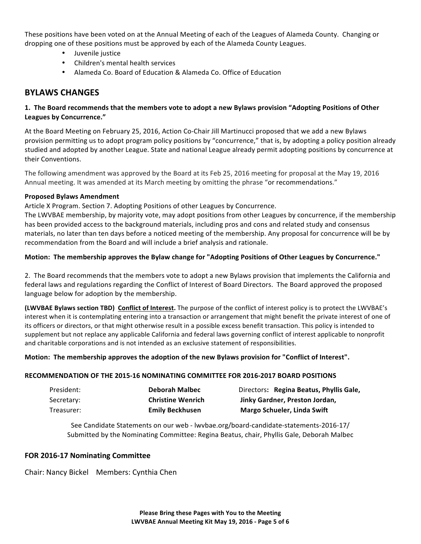These positions have been voted on at the Annual Meeting of each of the Leagues of Alameda County. Changing or dropping one of these positions must be approved by each of the Alameda County Leagues.

- Juvenile justice
- Children's mental health services
- Alameda Co. Board of Education & Alameda Co. Office of Education

### **BYLAWS&CHANGES**

#### **1.** The Board recommends that the members vote to adopt a new Bylaws provision "Adopting Positions of Other Leagues by Concurrence."

At the Board Meeting on February 25, 2016, Action Co-Chair Jill Martinucci proposed that we add a new Bylaws provision permitting us to adopt program policy positions by "concurrence," that is, by adopting a policy position already studied and adopted by another League. State and national League already permit adopting positions by concurrence at their Conventions.

The following amendment was approved by the Board at its Feb 25, 2016 meeting for proposal at the May 19, 2016 Annual meeting. It was amended at its March meeting by omitting the phrase "or recommendations."

#### **Proposed&Bylaws&Amendment**

Article X Program. Section 7. Adopting Positions of other Leagues by Concurrence.

The LWVBAE membership, by majority vote, may adopt positions from other Leagues by concurrence, if the membership has been provided access to the background materials, including pros and cons and related study and consensus materials, no later than ten days before a noticed meeting of the membership. Any proposal for concurrence will be by recommendation from the Board and will include a brief analysis and rationale.

#### Motion: The membership approves the Bylaw change for "Adopting Positions of Other Leagues by Concurrence."

2. The Board recommends that the members vote to adopt a new Bylaws provision that implements the California and federal laws and regulations regarding the Conflict of Interest of Board Directors. The Board approved the proposed language below for adoption by the membership.

**(LWVBAE Bylaws section TBD) Conflict of Interest.** The purpose of the conflict of interest policy is to protect the LWVBAE's interest when it is contemplating entering into a transaction or arrangement that might benefit the private interest of one of its officers or directors, or that might otherwise result in a possible excess benefit transaction. This policy is intended to supplement but not replace any applicable California and federal laws governing conflict of interest applicable to nonprofit and charitable corporations and is not intended as an exclusive statement of responsibilities.

#### Motion: The membership approves the adoption of the new Bylaws provision for "Conflict of Interest".

#### **RECOMMENDATION&OF&THE&2015@16&NOMINATING&COMMITTEE FOR&2016@2017 BOARD POSITIONS**

| President: | Deborah Malbec           | Directors: Regina Beatus, Phyllis Gale, |
|------------|--------------------------|-----------------------------------------|
| Secretary: | <b>Christine Wenrich</b> | Jinky Gardner, Preston Jordan,          |
| Treasurer: | <b>Emily Beckhusen</b>   | <b>Margo Schueler, Linda Swift</b>      |

See Candidate Statements on our web - lwvbae.org/board-candidate-statements-2016-17/ Submitted by the Nominating Committee: Regina Beatus, chair, Phyllis Gale, Deborah Malbec

#### **FOR 2016-17 Nominating Committee**

Chair: Nancy Bickel Members: Cynthia Chen